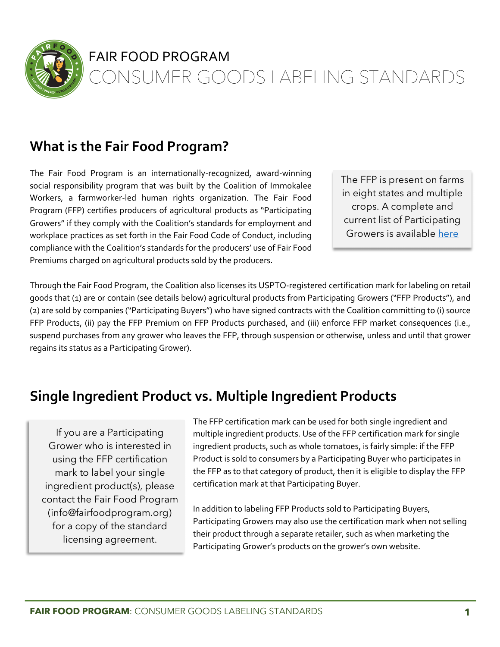

#### FAIR FOOD PROGRAM

CONSUMER GOODS LABELING STANDARDS

# **What is the Fair Food Program?**

The Fair Food Program is an internationally-recognized, award-winning social responsibility program that was built by the Coalition of Immokalee Workers, a farmworker-led human rights organization. The Fair Food Program (FFP) certifies producers of agricultural products as "Participating Growers" if they comply with the Coalition's standards for employment and workplace practices as set forth in the Fair Food Code of Conduct, including compliance with the Coalition's standards for the producers' use of Fair Food Premiums charged on agricultural products sold by the producers.

The FFP is present on farms in eight states and multiple crops. A complete and current list of Participating Growers is available here

Through the Fair Food Program, the Coalition also licenses its USPTO-registered certification mark for labeling on retail goods that (1) are or contain (see details below) agricultural products from Participating Growers ("FFP Products"), and (2) are sold by companies ("Participating Buyers") who have signed contracts with the Coalition committing to (i) source FFP Products, (ii) pay the FFP Premium on FFP Products purchased, and (iii) enforce FFP market consequences (i.e., suspend purchases from any grower who leaves the FFP, through suspension or otherwise, unless and until that grower regains its status as a Participating Grower).

## **Single Ingredient Product vs. Multiple Ingredient Products**

If you are a Participating Grower who is interested in using the FFP certification mark to label your single ingredient product(s), please contact the Fair Food Program (info@fairfoodprogram.org) for a copy of the standard licensing agreement.

The FFP certification mark can be used for both single ingredient and multiple ingredient products. Use of the FFP certification mark for single ingredient products, such as whole tomatoes, is fairly simple: if the FFP Product is sold to consumers by a Participating Buyer who participates in the FFP as to that category of product, then it is eligible to display the FFP certification mark at that Participating Buyer.

In addition to labeling FFP Products sold to Participating Buyers, Participating Growers may also use the certification mark when not selling their product through a separate retailer, such as when marketing the Participating Grower's products on the grower's own website.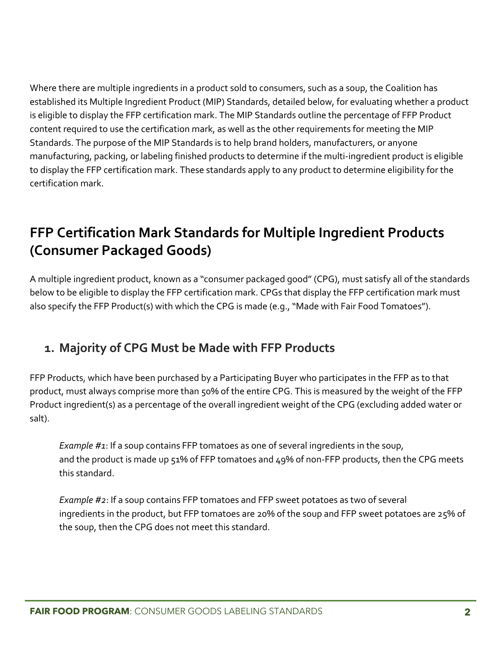Where there are multiple ingredients in a product sold to consumers, such as a soup, the Coalition has established its Multiple Ingredient Product (MIP) Standards, detailed below, for evaluating whether a product is eligible to display the FFP certification mark. The MIP Standards outline the percentage of FFP Product content required to use the certification mark, as well as the other requirements for meeting the MIP Standards. The purpose of the MIP Standards is to help brand holders, manufacturers, or anyone manufacturing, packing, or labeling finished products to determine if the multi-ingredient product is eligible to display the FFP certification mark. These standards apply to any product to determine eligibility for the certification mark.

## **FFP Certification Mark Standards for Multiple Ingredient Products (Consumer Packaged Goods)**

A multiple ingredient product, known as a "consumer packaged good" (CPG), must satisfy all of the standards below to be eligible to display the FFP certification mark. CPGs that display the FFP certification mark must also specify the FFP Product(s) with which the CPG is made (e.g., "Made with Fair Food Tomatoes").

#### **1. Majority of CPG Must be Made with FFP Products**

FFP Products, which have been purchased by a Participating Buyer who participates in the FFP as to that product, must always comprise more than 50% of the entire CPG. This is measured by the weight of the FFP Product ingredient(s) as a percentage of the overall ingredient weight of the CPG (excluding added water or salt).

*Example #1*: If a soup contains FFP tomatoes as one of several ingredients in the soup, and the product is made up 51% of FFP tomatoes and 49% of non-FFP products, then the CPG meets this standard.

*Example #2*: If a soup contains FFP tomatoes and FFP sweet potatoes as two of several ingredients in the product, but FFP tomatoes are 20% of the soup and FFP sweet potatoes are 25% of the soup, then the CPG does not meet this standard.